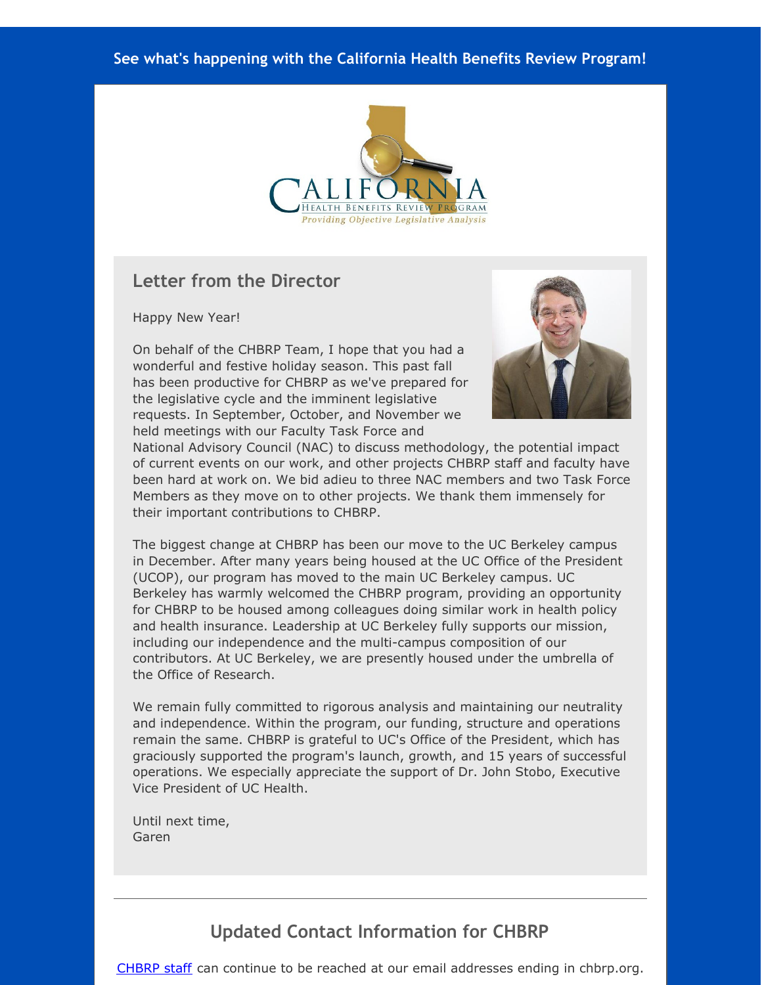#### **See what's happening with the California Health Benefits Review Program!**



#### **Letter from the Director**

Happy New Year!

On behalf of the CHBRP Team, I hope that you had a wonderful and festive holiday season. This past fall has been productive for CHBRP as we've prepared for the legislative cycle and the imminent legislative requests. In September, October, and November we held meetings with our Faculty Task Force and



National Advisory Council (NAC) to discuss methodology, the potential impact of current events on our work, and other projects CHBRP staff and faculty have been hard at work on. We bid adieu to three NAC members and two Task Force Members as they move on to other projects. We thank them immensely for their important contributions to CHBRP.

The biggest change at CHBRP has been our move to the UC Berkeley campus in December. After many years being housed at the UC Office of the President (UCOP), our program has moved to the main UC Berkeley campus. UC Berkeley has warmly welcomed the CHBRP program, providing an opportunity for CHBRP to be housed among colleagues doing similar work in health policy and health insurance. Leadership at UC Berkeley fully supports our mission, including our independence and the multi-campus composition of our contributors. At UC Berkeley, we are presently housed under the umbrella of the Office of Research.

We remain fully committed to rigorous analysis and maintaining our neutrality and independence. Within the program, our funding, structure and operations remain the same. CHBRP is grateful to UC's Office of the President, which has graciously supported the program's launch, growth, and 15 years of successful operations. We especially appreciate the support of Dr. John Stobo, Executive Vice President of UC Health.

Until next time, Garen

# **Updated Contact Information for CHBRP**

[CHBRP](http://r20.rs6.net/tn.jsp?f=001XGLwqZK_s2Ovdog2uFFSaM6Y3UV98VAv9szqpv8D1M1OjZ5ldAGT23-lfYN_lLp_JtgzmkITiJGB1vi7CnQ6REx1zkODYzGEo05Cnh0uRhtZ6JfPaXadtm17W1gQkelOEydS2Q1uwQgSf8_Haoa67z8xPwY50khBJ0xWyO9xZingVUfRU6ayoeGF_kr_iU1BjhQ4_V-hoqX6I-_MPINJXmCTl14Z-o3OifJ49tLo-fz6oHKS0uuLrx4WxsfV76Lsl5MBr_zhSMxpddFwB7MmXrOiXzMVm0qptMN7g54qOPRXfWkekBZVAh_tuOEGavuhfU7EGXvHUV0sbo1L_3ulph-GUgc87xa6SrZOgiNZTzjyBZkDPdsVi68zxjjzNGNrLVhAgtoGA1QfMeFr6Aq3_W0D2qjzM1hYStNLD8q-uPk=&c=&ch=) staff can continue to be reached at our email addresses ending in chbrp.org.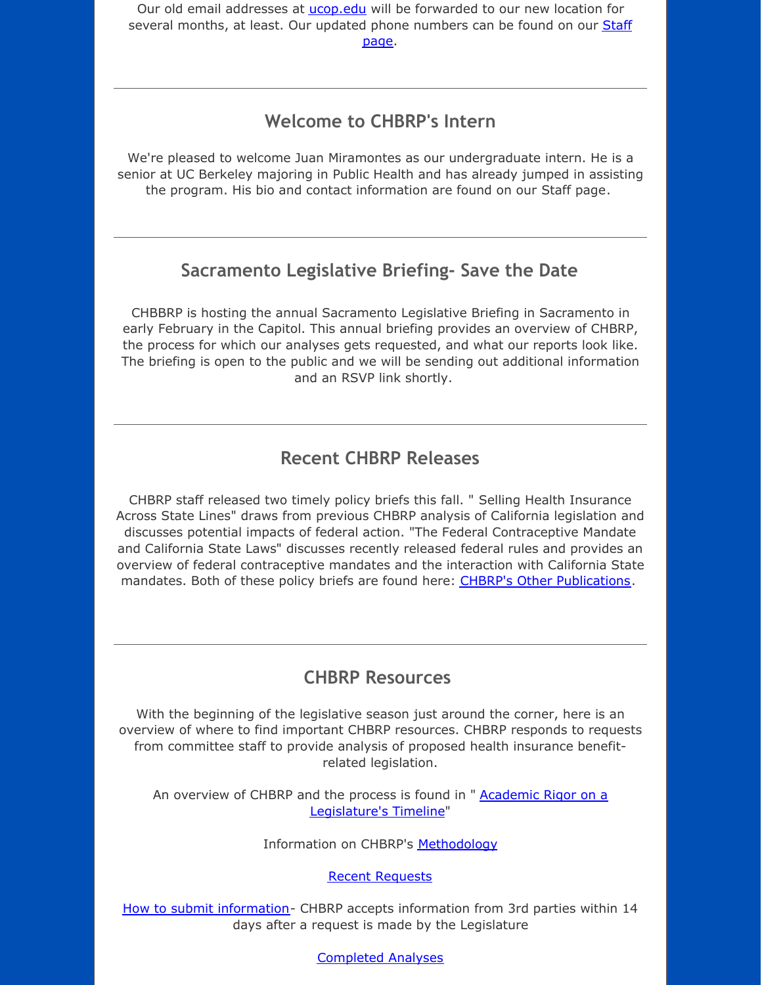Our old email addresses at [ucop.edu](http://r20.rs6.net/tn.jsp?f=001XGLwqZK_s2Ovdog2uFFSaM6Y3UV98VAv9szqpv8D1M1OjZ5ldAGT23-lfYN_lLp_0GM78Z13ib882IKZVD8ZKt1UnDlQDbPfSTX51yNuPBHM21Kj1w2IYLTAHiH98L540xEarvhjqVdhKBUfC5kUIvNUwYC6lplwpHtcc9fNBiGn3KKqOOI5_vw9JqHWuqxMS6Y0TrHNIN0vzbKrQPAo6zxCyy3syyzMTQTKf2lunByVXgSEDLMYMc8iBInm5ZCE2UWdjrjuieGgUF4DdXcT5cKPf-NB70zX18a3RIIV9GhK7L4nXFQRMaY-8yIQ7jtOJF6SWjamJP08fHMUzonAZWQ-1iw7IKbp3yRWzJVUmkCrlXXby5HYsGf3CheggW7l&c=&ch=) will be forwarded to our new location for several months, at least. Our updated phone [numbers](http://r20.rs6.net/tn.jsp?f=001XGLwqZK_s2Ovdog2uFFSaM6Y3UV98VAv9szqpv8D1M1OjZ5ldAGT23-lfYN_lLp_JtgzmkITiJGB1vi7CnQ6REx1zkODYzGEo05Cnh0uRhtZ6JfPaXadtm17W1gQkelOEydS2Q1uwQgSf8_Haoa67z8xPwY50khBJ0xWyO9xZingVUfRU6ayoeGF_kr_iU1BjhQ4_V-hoqX6I-_MPINJXmCTl14Z-o3OifJ49tLo-fz6oHKS0uuLrx4WxsfV76Lsl5MBr_zhSMxpddFwB7MmXrOiXzMVm0qptMN7g54qOPRXfWkekBZVAh_tuOEGavuhfU7EGXvHUV0sbo1L_3ulph-GUgc87xa6SrZOgiNZTzjyBZkDPdsVi68zxjjzNGNrLVhAgtoGA1QfMeFr6Aq3_W0D2qjzM1hYStNLD8q-uPk=&c=&ch=) can be found on our Staff page.

#### **Welcome to CHBRP's Intern**

We're pleased to welcome Juan Miramontes as our undergraduate intern. He is a senior at UC Berkeley majoring in Public Health and has already jumped in assisting the program. His bio and contact information are found on our Staff page.

## **Sacramento Legislative Briefing- Save the Date**

CHBBRP is hosting the annual Sacramento Legislative Briefing in Sacramento in early February in the Capitol. This annual briefing provides an overview of CHBRP, the process for which our analyses gets requested, and what our reports look like. The briefing is open to the public and we will be sending out additional information and an RSVP link shortly.

## **Recent CHBRP Releases**

CHBRP staff released two timely policy briefs this fall. " Selling Health Insurance Across State Lines" draws from previous CHBRP analysis of California legislation and discusses potential impacts of federal action. "The Federal Contraceptive Mandate and California State Laws" discusses recently released federal rules and provides an overview of federal contraceptive mandates and the interaction with California State mandates. Both of these policy briefs are found here: CHBRP's Other [Publications](http://r20.rs6.net/tn.jsp?f=001XGLwqZK_s2Ovdog2uFFSaM6Y3UV98VAv9szqpv8D1M1OjZ5ldAGT28WxhbAFeUCnYDBOCg1KhakKam9U3bxCNlBQU54PAnxmw4YMbLDvSVpUbBJauxVVouh2BX4n_Jkd0YFqOui1oghUTuOjLWNbz7ssXC83WLEMT9_1_2NADKza2Nf895vl5wSt4GpmgV3djv9fMGD0oJKUrK5_QStYCR40WFBPDgmSG5xj9dBQ4HC1tqoT8NsV_hfTR3jU9GwNyRxaTj7XaM9YWEilwAAgTImYwOi8vbuLjKth1LCWz7cSJWwCiN-rCSWZ9HRAVeCenSQaiFZ9E5ULIbnwjDZC-TXXmjFhCCupUf4NsS4bduV_FNDxpJI8Tf_E9aH5pqYfXxe1WqXzTlCDvfFRlQ_Ai_bmk5fU4g6z2XwvWv4D8pY=&c=&ch=).

#### **CHBRP Resources**

With the beginning of the legislative season just around the corner, here is an overview of where to find important CHBRP resources. CHBRP responds to requests from committee staff to provide analysis of proposed health insurance benefitrelated legislation.

An overview of CHBRP and the process is found in " **Academic Rigor on a** [Legislature's](http://r20.rs6.net/tn.jsp?f=001XGLwqZK_s2Ovdog2uFFSaM6Y3UV98VAv9szqpv8D1M1OjZ5ldAGT23-lfYN_lLp_p-KlvYSq2WYAxHoUuMBwwnfg0oda5fmi6x-zHoXzWENzu9l-uf5ogpcO9IHyoJbDM2bGMJ8cUgUm8tnJ-WoDPhUQaD15cg-1o6FHhrmrJDIW8JGBvxuGW1UK9spo0z4aZSIfZOKIWsxfI0mHk1lUq0pxlXiwPjNcARiuuelcPmDYGM2XsL_imE2BtOKMU1KpeQnUjovURqjKJCiAK1q0s8UGph7Y4dv1KbjKw4zHbxN-52tXZQeQ8fdH_mavn_Rs59Fb9wtFULrqUGMYFs2qDiC6qKqGBX1FptUKT7CJ112RSFjITfCLUoBstWZE_jM1gcWtCwRflgMhMUC_EjUQp6gNfTlZe2EhJ2GC9fIPC469xlo1rZyToZ1WpQrraSHjFK-iOD2IgEQXWU7T2GFV4zd6uH4p717sqbrPZ94YdETVeWmElYfURA==&c=&ch=) Timeline"

Information on CHBRP's [Methodology](http://r20.rs6.net/tn.jsp?f=001XGLwqZK_s2Ovdog2uFFSaM6Y3UV98VAv9szqpv8D1M1OjZ5ldAGT23-lfYN_lLp_pDIavGNX1n2obrNbC4TcpLtojFAY8RaQoPzuhqANaJyZa6VeSejmcNHYTuAnbk2VM7jhCO_Iro-rOoY4DXD-41XN2H91xgeJJjBss5xWDzqg1kWN2CsGaUj8pfhzKHw8O1npTgf9ztUKwTulB_OXTh3-evdZuuXbvELUNhKnfdl4e0KmLBeRjBb6oxSiNLJoZNQnXYfTTLDmFm75vB2SUU4XMocPN695TEMPdqm0gnNLuV9Qyr-eyMlLb1RNhjIp-6VDue6Yd-WwIDSMqKd1aT6vdt29nq1u1nkA0H7w_w5Zp_-eA4kGAGp65EUiH6HmVy_WahXomO-TfL_uih_MKb92w-OCxcWsCpbqkc6c8rc=&c=&ch=)

Recent [Requests](http://r20.rs6.net/tn.jsp?f=001XGLwqZK_s2Ovdog2uFFSaM6Y3UV98VAv9szqpv8D1M1OjZ5ldAGT23-lfYN_lLp_W9zRWIQJ8dNcRjtYncS82HAgxrJGU1W7pZ6txg3m0nKUDJmv5q9ogzonUDFEGXbDrrP-Bj6NA2-XyydSKIVqgEDahttp5Eu5ggksLsS1Nk6Ah4evo4fEMmro33_RwNhBe2JrviGfCdlNqWOoYIsLXUfNDoLQIHb8ExYQtpqayp9ZXZQSw1KpamcSitrJtH30lQtObuPjBfkU-8okbX6tHBmnB0LK6yWdChEBwl2hK6KGwWhy4mgDS7il_U85ZIMVRCOIaI32g2vzzNcNjbMQqR3CgVIwTbLs2U4d9P_kJxmFP5aS65DKzcNhUSI5KAFnxXZTkO4-ZuCSh6YhXTma4oQIcS65BdfE&c=&ch=)

How to submit [information](http://r20.rs6.net/tn.jsp?f=001XGLwqZK_s2Ovdog2uFFSaM6Y3UV98VAv9szqpv8D1M1OjZ5ldAGT23-lfYN_lLp_XiPcdGNhLOxnopaJ2urnvOIQlnwOD4b975ecgPlBuhV8VpMK9T_cCW-B6zftCGXD2t8joJ7uu2eaNMGKBclzlhpEKFhOgIG0DNSvWkAmaaBglGUQGmYdTwGNS9DtCrNB7muqFilzRIpJLcCVsq-qRYQuaHUKON3bAp5UPVJZYU2UlU4e4DmyHct7yMssd0NuVg376Ycl9CkwQ_NFI7Y3EzSojboQlTmZG_YcuVnn2VnD5x3XKsVdJ6Et-hmwWdm3Rj65jZwI_o-sLIFRX3dz7QvoRweKhgBv1pGt5lDXHqHRuX892E3_Z98WN6wpPoCSDquTIdxijHR8qtp9ZYKnkKJJDRTRb5tOUj1qE4o7d20SHQa6LRZPT_-iKi4X-K0K&c=&ch=)- CHBRP accepts information from 3rd parties within 14 days after a request is made by the Legislature

[Completed](http://r20.rs6.net/tn.jsp?f=001XGLwqZK_s2Ovdog2uFFSaM6Y3UV98VAv9szqpv8D1M1OjZ5ldAGT2yQ8t8gUH4Kc28IgVD-mN-Tp96bdBUzGPAmoP25GGhi--ZiHusBWZD30EuZ18XcU7hLTqy9zVaPFkSUHHfkqWC_EeUC3_f4Z66_mOfciS119gfNE9d8rdQyR1HNnum96OLH0LzHU3UDNZX5DcYBrsWzOTXZpsCSwtYjapv0xzko6TguW_Qwg2MBlYeEfdSWItEPS3qPUtoxwsXFKa3sdv-1tCVrX4pZrZLwfMBl1YrUtnIP-y-tzWTC3bPcczMr-_JNg8-ASEmYAcpkjEMdbui4Al521qhWyNRVpMnf7puu_Ikp-VNUJ3ksOqdYFtDJHQj40cvxNeZ6qiTbz-J7ohduUPFxZZrDkMLkoDXhstttH&c=&ch=) Analyses